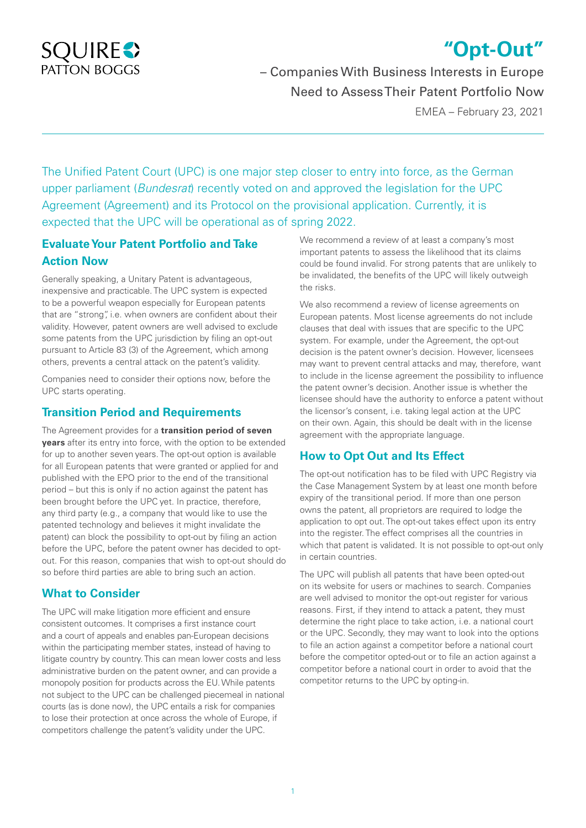

# **"Opt-Out"**

– Companies With Business Interests in Europe Need to Assess Their Patent Portfolio Now

EMEA – February 23, 2021

The Unified Patent Court (UPC) is one major step closer to entry into force, as the German upper parliament (*Bundesrat*) recently voted on and approved the legislation for the UPC Agreement (Agreement) and its Protocol on the provisional application. Currently, it is expected that the UPC will be operational as of spring 2022.

# **Evaluate Your Patent Portfolio and Take Action Now**

Generally speaking, a Unitary Patent is advantageous, inexpensive and practicable. The UPC system is expected to be a powerful weapon especially for European patents that are "strong", i.e. when owners are confident about their validity. However, patent owners are well advised to exclude some patents from the UPC jurisdiction by filing an opt-out pursuant to Article 83 (3) of the Agreement, which among others, prevents a central attack on the patent's validity.

Companies need to consider their options now, before the UPC starts operating.

### **Transition Period and Requirements**

The Agreement provides for a **transition period of seven years** after its entry into force, with the option to be extended for up to another seven years. The opt-out option is available for all European patents that were granted or applied for and published with the EPO prior to the end of the transitional period – but this is only if no action against the patent has been brought before the UPC yet. In practice, therefore, any third party (e.g., a company that would like to use the patented technology and believes it might invalidate the patent) can block the possibility to opt-out by filing an action before the UPC, before the patent owner has decided to optout. For this reason, companies that wish to opt-out should do so before third parties are able to bring such an action.

### **What to Consider**

The UPC will make litigation more efficient and ensure consistent outcomes. It comprises a first instance court and a court of appeals and enables pan-European decisions within the participating member states, instead of having to litigate country by country. This can mean lower costs and less administrative burden on the patent owner, and can provide a monopoly position for products across the EU. While patents not subject to the UPC can be challenged piecemeal in national courts (as is done now), the UPC entails a risk for companies to lose their protection at once across the whole of Europe, if competitors challenge the patent's validity under the UPC.

We recommend a review of at least a company's most important patents to assess the likelihood that its claims could be found invalid. For strong patents that are unlikely to be invalidated, the benefits of the UPC will likely outweigh the risks.

We also recommend a review of license agreements on European patents. Most license agreements do not include clauses that deal with issues that are specific to the UPC system. For example, under the Agreement, the opt-out decision is the patent owner's decision. However, licensees may want to prevent central attacks and may, therefore, want to include in the license agreement the possibility to influence the patent owner's decision. Another issue is whether the licensee should have the authority to enforce a patent without the licensor's consent, i.e. taking legal action at the UPC on their own. Again, this should be dealt with in the license agreement with the appropriate language.

# **How to Opt Out and Its Effect**

The opt-out notification has to be filed with UPC Registry via the Case Management System by at least one month before expiry of the transitional period. If more than one person owns the patent, all proprietors are required to lodge the application to opt out. The opt-out takes effect upon its entry into the register. The effect comprises all the countries in which that patent is validated. It is not possible to opt-out only in certain countries.

The UPC will publish all patents that have been opted-out on its website for users or machines to search. Companies are well advised to monitor the opt-out register for various reasons. First, if they intend to attack a patent, they must determine the right place to take action, i.e. a national court or the UPC. Secondly, they may want to look into the options to file an action against a competitor before a national court before the competitor opted-out or to file an action against a competitor before a national court in order to avoid that the competitor returns to the UPC by opting-in.